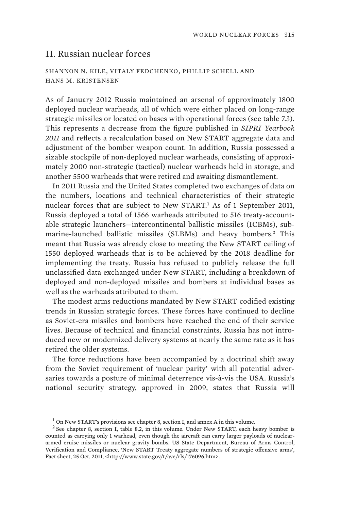## II. Russian nuclear forces

SHANNON N. KILE, VITALY FEDCHENKO, PHILLIP SCHELL AND HANS M. KRISTENSEN

As of January 2012 Russia maintained an arsenal of approximately 1800 deployed nuclear warheads, all of which were either placed on long-range strategic missiles or located on bases with operational forces (see table 7.3). This represents a decrease from the figure published in *SIPRI Yearbook 2011* and reflects a recalculation based on New START aggregate data and adjustment of the bomber weapon count. In addition, Russia possessed a sizable stockpile of non-deployed nuclear warheads, consisting of approximately 2000 non-strategic (tactical) nuclear warheads held in storage, and another 5500 warheads that were retired and awaiting dismantlement.

In 2011 Russia and the United States completed two exchanges of data on the numbers, locations and technical characteristics of their strategic nuclear forces that are subject to New START.<sup>1</sup> As of 1 September 2011, Russia deployed a total of 1566 warheads attributed to 516 treaty-accountable strategic launchers—intercontinental ballistic missiles (ICBMs), submarine-launched ballistic missiles (SLBMs) and heavy bombers.<sup>2</sup> This meant that Russia was already close to meeting the New START ceiling of 1550 deployed warheads that is to be achieved by the 2018 deadline for implementing the treaty. Russia has refused to publicly release the full unclassified data exchanged under New START, including a breakdown of deployed and non-deployed missiles and bombers at individual bases as well as the warheads attributed to them.

The modest arms reductions mandated by New START codified existing trends in Russian strategic forces. These forces have continued to decline as Soviet-era missiles and bombers have reached the end of their service lives. Because of technical and financial constraints, Russia has not introduced new or modernized delivery systems at nearly the same rate as it has retired the older systems.

The force reductions have been accompanied by a doctrinal shift away from the Soviet requirement of 'nuclear parity' with all potential adversaries towards a posture of minimal deterrence vis-à-vis the USA. Russia's national security strategy, approved in 2009, states that Russia will

 $<sup>1</sup>$  On New START's provisions see chapter 8, section I, and annex A in this volume.</sup>

<sup>&</sup>lt;sup>2</sup> See chapter 8, section I, table 8.2, in this volume. Under New START, each heavy bomber is counted as carrying only 1 warhead, even though the aircraft can carry larger payloads of nucleararmed cruise missiles or nuclear gravity bombs. US State Department, Bureau of Arms Control, Verification and Compliance, 'New START Treaty aggregate numbers of strategic offensive arms', Fact sheet, 25 Oct. 2011, <http://www.state.gov/t/avc/rls/176096.htm>.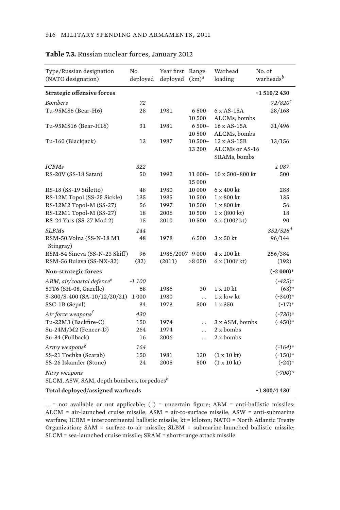| Type/Russian designation<br>(NATO designation)            | No.<br>deployed | Year first<br>deployed | Range<br>$(km)^d$     | Warhead<br>loading                                   | No. of<br>warheads <sup>b</sup> |
|-----------------------------------------------------------|-----------------|------------------------|-----------------------|------------------------------------------------------|---------------------------------|
| <b>Strategic offensive forces</b>                         |                 |                        |                       |                                                      | $-1510/2430$                    |
| <b>Bombers</b>                                            | 72              |                        |                       |                                                      | $72/820^{\circ}$                |
| Tu-95MS6 (Bear-H6)                                        | 28              | 1981                   | $6500 -$<br>10 500    | $6 \times AS-15A$<br>ALCMs, bombs                    | 28/168                          |
| Tu-95MS16 (Bear-H16)                                      | 31              | 1981                   | $6500 -$<br>10 500    | 16 x AS-15A<br>ALCMs, bombs                          | 31/496                          |
| Tu-160 (Blackjack)                                        | 13              | 1987                   | $10500 -$<br>13 200   | $12 \times AS-15B$<br>ALCMs or AS-16<br>SRAMs, bombs | 13/156                          |
| <b>ICBMs</b>                                              | 322             |                        |                       |                                                      | 1087                            |
| RS-20V (SS-18 Satan)                                      | 50              | 1992                   | 11 000-<br>15 000     | $10 \times 500 - 800$ kt                             | 500                             |
| RS-18 (SS-19 Stiletto)                                    | 48              | 1980                   | 10 000                | 6 x 400 kt                                           | 288                             |
| RS-12M Topol (SS-25 Sickle)                               | 135             | 1985                   | 10 500                | $1 \times 800$ kt                                    | 135                             |
| RS-12M2 Topol-M (SS-27)                                   | 56              | 1997                   | 10 500                | $1 \times 800$ kt                                    | 56                              |
| RS-12M1 Topol-M (SS-27)                                   | 18              | 2006                   | 10 500                | 1 x (800 kt)                                         | 18                              |
| RS-24 Yars (SS-27 Mod 2)                                  | 15              | 2010                   | 10 500                | 6x(100?kt)                                           | 90                              |
| <b>SLBMs</b>                                              | 144             |                        |                       |                                                      | 352/528 <sup>d</sup>            |
| RSM-50 Volna (SS-N-18 M1<br>Stingray)                     | 48              | 1978                   | 6500                  | $3 \times 50$ kt                                     | 96/144                          |
| RSM-54 Sineva (SS-N-23 Skiff)                             | 96              | 1986/2007 9 000        |                       | 4 x 100 kt                                           | 256/384                         |
| RSM-56 Bulava (SS-NX-32)                                  | (32)            | (2011)                 | >8050                 | 6x(100?kt)                                           | (192)                           |
| <b>Non-strategic forces</b>                               |                 |                        |                       |                                                      | $(*2000)*$                      |
| ABM, air/coastal defence <sup>e</sup>                     | $-1100$         |                        |                       |                                                      | $(*425)*$                       |
| 53T6 (SH-08, Gazelle)                                     | 68              | 1986                   | 30                    | $1 \times 10$ kt                                     | $(68)*$                         |
| S-300/S-400 (SA-10/12/20/21)                              | 1000            | 1980                   | $\dddot{\phantom{0}}$ | 1 x low kt                                           | $(*340)*$                       |
| SSC-1B (Sepal)                                            | 34              | 1973                   | 500                   | 1 x 350                                              | $(-17)^{*}$                     |
| Air force weapons <sup>f</sup>                            | 430             |                        |                       |                                                      | $(*730)*$                       |
| Tu-22M3 (Backfire-C)                                      | 150             | 1974                   | $\ddot{\phantom{0}}$  | 3 x ASM, bombs                                       | $(*450)*$                       |
| Su-24M/M2 (Fencer-D)                                      | 264             | 1974                   | $\ddot{\phantom{0}}$  | 2 x bombs                                            |                                 |
| Su-34 (Fullback)                                          | 16              | 2006                   | $\ddot{\phantom{0}}$  | 2 x bombs                                            |                                 |
| Army weapons <sup>g</sup>                                 | 164             |                        |                       |                                                      | $(*164)*$                       |
| SS-21 Tochka (Scarab)                                     | 150             | 1981                   | 120                   | $(1 \times 10 \text{ kt})$                           | $(-150)*$                       |
| SS-26 Iskander (Stone)                                    | 24              | 2005                   | 500                   | (1 x 10 kt)                                          | $(-24)$ *                       |
| Navy weapons<br>SLCM, ASW, SAM, depth bombers, torpedoesh |                 |                        |                       |                                                      | $(*700)*$                       |
| Total deployed/assigned warheads                          |                 |                        |                       |                                                      | ~1 800/4 430 $^{\prime}$        |

#### **Table 7.3.** Russian nuclear forces, January 2012

. . = not available or not applicable; ( ) = uncertain figure; ABM = anti-ballistic missiles; ALCM = air-launched cruise missile; ASM = air-to-surface missile; ASW = anti-submarine warfare; ICBM = intercontinental ballistic missile; kt = kiloton; NATO = North Atlantic Treaty Organization; SAM = surface-to-air missile; SLBM = submarine-launched ballistic missile; SLCM = sea-launched cruise missile; SRAM = short-range attack missile.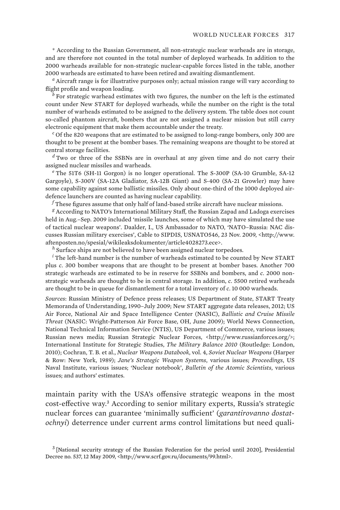\* According to the Russian Government, all non-strategic nuclear warheads are in storage, and are therefore not counted in the total number of deployed warheads. In addition to the 2000 warheads available for non-strategic nuclear-capable forces listed in the table, another 2000 warheads are estimated to have been retired and awaiting dismantlement.

*a* Aircraft range is for illustrative purposes only; actual mission range will vary according to flight profile and weapon loading.

*b* For strategic warhead estimates with two figures, the number on the left is the estimated count under New START for deployed warheads, while the number on the right is the total number of warheads estimated to be assigned to the delivery system. The table does not count so-called phantom aircraft, bombers that are not assigned a nuclear mission but still carry electronic equipment that make them accountable under the treaty.

*c* Of the 820 weapons that are estimated to be assigned to long-range bombers, only 300 are thought to be present at the bomber bases. The remaining weapons are thought to be stored at central storage facilities.

*d* Two or three of the SSBNs are in overhaul at any given time and do not carry their assigned nuclear missiles and warheads.

*e* The 51T6 (SH-11 Gorgon) is no longer operational. The S-300P (SA-10 Grumble, SA-12 Gargoyle), S-300V (SA-12A Gladiator, SA-12B Giant) and S-400 (SA-21 Growler) may have some capability against some ballistic missiles. Only about one-third of the 1000 deployed airdefence launchers are counted as having nuclear capability.

*f* These figures assume that only half of land-based strike aircraft have nuclear missions.

*g* According to NATO's International Military Staff, the Russian Zapad and Ladoga exercises held in Aug.–Sep. 2009 included 'missile launches, some of which may have simulated the use of tactical nuclear weapons'. Daalder, I., US Ambassador to NATO, 'NATO–Russia: NAC discusses Russian military exercises', Cable to SIPDIS, USNATO546, 23 Nov. 2009, <http://www. aftenposten.no/spesial/wikileaksdokumenter/article4028273.ece>.

*<sup>h</sup>* Surface ships are not believed to have been assigned nuclear torpedoes.

*i* The left-hand number is the number of warheads estimated to be counted by New START plus *c*. 300 bomber weapons that are thought to be present at bomber bases. Another 700 strategic warheads are estimated to be in reserve for SSBNs and bombers, and *c*. 2000 nonstrategic warheads are thought to be in central storage. In addition, *c*. 5500 retired warheads are thought to be in queue for dismantlement for a total inventory of *c*. 10 000 warheads.

*Sources*: Russian Ministry of Defence press releases; US Department of State, START Treaty Memoranda of Understanding, 1990–July 2009; New START aggregate data releases, 2012; US Air Force, National Air and Space Intelligence Center (NASIC), *Ballistic and Cruise Missile Threat* (NASIC: Wright-Patterson Air Force Base, OH, June 2009); World News Connection, National Technical Information Service (NTIS), US Department of Commerce, various issues; Russian news media; Russian Strategic Nuclear Forces, <http://www.russianforces.org/>; International Institute for Strategic Studies, *The Military Balance 2010* (Routledge: London, 2010); Cochran, T. B. et al., *Nuclear Weapons Databook*, vol. 4, *Soviet Nuclear Weapons* (Harper & Row: New York, 1989); *Jane's Strategic Weapon Systems*, various issues; *Proceedings*, US Naval Institute, various issues; 'Nuclear notebook', *Bulletin of the Atomic Scientists*, various issues; and authors' estimates.

maintain parity with the USA's offensive strategic weapons in the most cost-effective way.<sup>3</sup> According to senior military experts, Russia's strategic nuclear forces can guarantee 'minimally sufficient' (*garantirovanno dostatochnyi*) deterrence under current arms control limitations but need quali-

<sup>&</sup>lt;sup>3</sup> [National security strategy of the Russian Federation for the period until 2020], Presidential Decree no. 537, 12 May 2009, <http://www.scrf.gov.ru/documents/99.html>.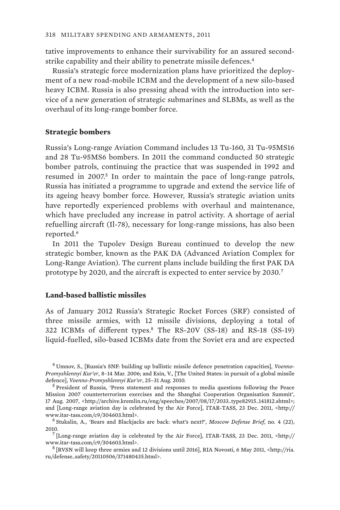tative improvements to enhance their survivability for an assured secondstrike capability and their ability to penetrate missile defences.<sup>4</sup>

Russia's strategic force modernization plans have prioritized the deployment of a new road-mobile ICBM and the development of a new silo-based heavy ICBM. Russia is also pressing ahead with the introduction into service of a new generation of strategic submarines and SLBMs, as well as the overhaul of its long-range bomber force.

#### **Strategic bombers**

Russia's Long-range Aviation Command includes 13 Tu-160, 31 Tu-95MS16 and 28 Tu-95MS6 bombers. In 2011 the command conducted 50 strategic bomber patrols, continuing the practice that was suspended in 1992 and resumed in 2007.<sup>5</sup> In order to maintain the pace of long-range patrols, Russia has initiated a programme to upgrade and extend the service life of its ageing heavy bomber force. However, Russia's strategic aviation units have reportedly experienced problems with overhaul and maintenance, which have precluded any increase in patrol activity. A shortage of aerial refuelling aircraft (Il-78), necessary for long-range missions, has also been reported.<sup>6</sup>

In 2011 the Tupolev Design Bureau continued to develop the new strategic bomber, known as the PAK DA (Advanced Aviation Complex for Long-Range Aviation). The current plans include building the first PAK DA prototype by 2020, and the aircraft is expected to enter service by 2030.<sup>7</sup>

## **Land-based ballistic missiles**

As of January 2012 Russia's Strategic Rocket Forces (SRF) consisted of three missile armies, with 12 missile divisions, deploying a total of 322 ICBMs of different types.<sup>8</sup> The RS-20V (SS-18) and RS-18 (SS-19) liquid-fuelled, silo-based ICBMs date from the Soviet era and are expected

<sup>4</sup> Umnov, S., [Russia's SNF: building up ballistic missile defence penetration capacities], *Voenno-Promyshlennyi Kur'er*, 8–14 Mar. 2006; and Esin, V., [The United States: in pursuit of a global missile defence], *Voenno-Promyshlennyi Kur'er*, 25–31 Aug. 2010. <sup>5</sup>

<sup>&</sup>lt;sup>5</sup> President of Russia, 'Press statement and responses to media questions following the Peace Mission 2007 counterterrorism exercises and the Shanghai Cooperation Organisation Summit', 17 Aug. 2007, <http://archive.kremlin.ru/eng/speeches/2007/08/17/2033\_type82915\_141812.shtml>; and [Long-range aviation day is celebrated by the Air Force], ITAR-TASS, 23 Dec. 2011, <http:// www.itar-tass.com/c9/304603.html>. <sup>6</sup>

Stukalin, A., 'Bears and Blackjacks are back: what's next?', *Moscow Defense Brief*, no. 4 (22),  $2010.$ 

 <sup>[</sup>Long-range aviation day is celebrated by the Air Force], ITAR-TASS, 23 Dec. 2011, <http:// www.itar-tass.com/c9/304603.html>. 8 [RVSN will keep three armies and 12 divisions until 2016], RIA Novosti, 6 May 2011, <http://ria.

ru/defense\_safety/20110506/371480435.html>.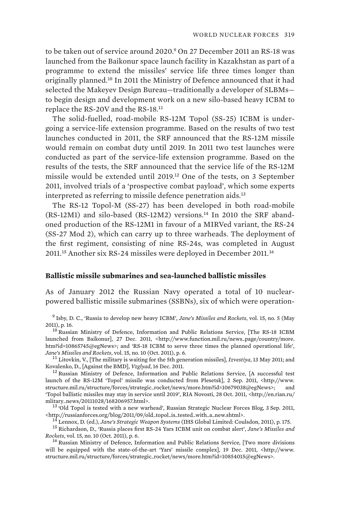to be taken out of service around 2020.<sup>9</sup> On 27 December 2011 an RS-18 was launched from the Baikonur space launch facility in Kazakhstan as part of a programme to extend the missiles' service life three times longer than originally planned.<sup>10</sup> In 2011 the Ministry of Defence announced that it had selected the Makeyev Design Bureau—traditionally a developer of SLBMs to begin design and development work on a new silo-based heavy ICBM to replace the RS-20V and the RS-18.<sup>11</sup>

The solid-fuelled, road-mobile RS-12M Topol (SS-25) ICBM is undergoing a service-life extension programme. Based on the results of two test launches conducted in 2011, the SRF announced that the RS-12M missile would remain on combat duty until 2019. In 2011 two test launches were conducted as part of the service-life extension programme. Based on the results of the tests, the SRF announced that the service life of the RS-12M missile would be extended until 2019.<sup>12</sup> One of the tests, on 3 September 2011, involved trials of a 'prospective combat payload', which some experts interpreted as referring to missile defence penetration aids.<sup>13</sup>

The RS-12 Topol-M (SS-27) has been developed in both road-mobile (RS-12M1) and silo-based (RS-12M2) versions.14 In 2010 the SRF abandoned production of the RS-12M1 in favour of a MIRVed variant, the RS-24 (SS-27 Mod 2), which can carry up to three warheads. The deployment of the first regiment, consisting of nine RS-24s, was completed in August 2011.<sup>15</sup> Another six RS-24 missiles were deployed in December 2011.<sup>16</sup>

### **Ballistic missile submarines and sea-launched ballistic missiles**

As of January 2012 the Russian Navy operated a total of 10 nuclearpowered ballistic missile submarines (SSBNs), six of which were operation-

9 Isby, D. C., 'Russia to develop new heavy ICBM', *Jane's Missiles and Rockets*, vol. 15, no. 5 (May 2011), p. 16. 10 Russian Ministry of Defence, Information and Public Relations Service, [The RS-18 ICBM

launched from Baikonur], 27 Dec. 2011, <http://www.function.mil.ru/news\_page/country/more. htm?id=10865745@egNews>; and 'RS-18 ICBM to serve three times the planned operational life', Jane's Missiles and Rockets, vol. 15, no. 10 (Oct. 2011), p. 6.

<sup>11</sup> Litovkin, V., [The military is waiting for the 5th generation missiles], *Izvestiya*, 13 May 2011; and Kovalenko, D., [Against the BMD], *Vzglyad*, 16 Dec. 2011.

<sup>12</sup> Russian Ministry of Defence, Information and Public Relations Service, [A successful test launch of the RS-12M 'Topol' missile was conducted from Plesetsk], 2 Sep. 2011, <http://www. structure.mil.ru/structure/forces/strategic\_rocket/news/more.htm?id=10679038@egNews>; and 'Topol ballistic missiles may stay in service until 2019', RIA Novosti, 28 Oct. 2011, <http://en.rian.ru/ mlitary\_news/20111028/168206957.html>.<br><sup>13</sup> 'Old Topol is tested with a new warhead', Russian Strategic Nuclear Forces Blog, 3 Sep. 2011,

 $\cdot$ http://russianforces.org/blog/2011/09/old\_topol\_is\_tested\_with\_a\_new.shtml>. $^{14}$ Lennox, D. (ed.), Jane's Strategic Weapon Systems (IHS Global Limited: Coulsdon, 2011), p. 175. $^{15}$  Richardson, D., 'Russia places fi

*Rockets*, vol. 15, no. 10 (Oct. 2011), p. 6.<br><sup>16</sup> Russian Ministry of Defence, Information and Public Relations Service, [Two more divisions

will be equipped with the state-of-the-art 'Yars' missile complex], 19 Dec. 2011, <http://www. structure.mil.ru/structure/forces/strategic\_rocket/news/more.htm?id=10854015@egNews>.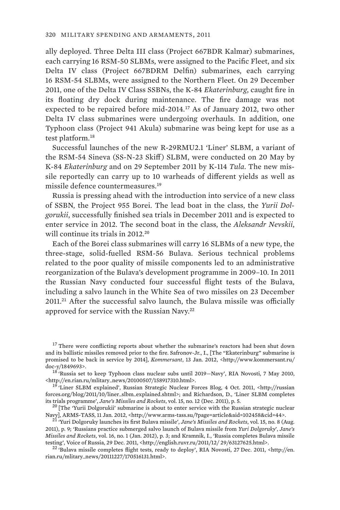ally deployed. Three Delta III class (Project 667BDR Kalmar) submarines, each carrying 16 RSM-50 SLBMs, were assigned to the Pacific Fleet, and six Delta IV class (Project 667BDRM Delfin) submarines, each carrying 16 RSM-54 SLBMs, were assigned to the Northern Fleet. On 29 December 2011, one of the Delta IV Class SSBNs, the K-84 *Ekaterinburg*, caught fire in its floating dry dock during maintenance. The fire damage was not expected to be repaired before mid-2014.<sup>17</sup> As of January 2012, two other Delta IV class submarines were undergoing overhauls. In addition, one Typhoon class (Project 941 Akula) submarine was being kept for use as a test platform.<sup>18</sup>

Successful launches of the new R-29RMU2.1 'Liner' SLBM, a variant of the RSM-54 Sineva (SS-N-23 Skiff ) SLBM, were conducted on 20 May by K-84 *Ekaterinburg* and on 29 September 2011 by K-114 *Tula*. The new missile reportedly can carry up to 10 warheads of different yields as well as missile defence countermeasures.<sup>19</sup>

Russia is pressing ahead with the introduction into service of a new class of SSBN, the Project 955 Borei. The lead boat in the class, the *Yurii Dolgorukii*, successfully finished sea trials in December 2011 and is expected to enter service in 2012. The second boat in the class, the *Aleksandr Nevskii*, will continue its trials in 2012<sup>20</sup>

Each of the Borei class submarines will carry 16 SLBMs of a new type, the three-stage, solid-fuelled RSM-56 Bulava. Serious technical problems related to the poor quality of missile components led to an administrative reorganization of the Bulava's development programme in 2009–10. In 2011 the Russian Navy conducted four successful flight tests of the Bulava, including a salvo launch in the White Sea of two missiles on 23 December  $2011<sup>21</sup>$  After the successful salvo launch, the Bulava missile was officially approved for service with the Russian Navy.<sup>22</sup>

<sup>&</sup>lt;sup>17</sup> There were conflicting reports about whether the submarine's reactors had been shut down and its ballistic missiles removed prior to the fire. Safronov-Jr., I., [The "Ekaterinburg" submarine is promised to be back in service by 2014], *Kommersant*, 13 Jan. 2012, <http://www.kommersant.ru/

doc-y/1849693>.  $18 \cdot \text{Russia set to keep Typhoon class nuclear subs until } 2019 - \text{Navy'}$ , RIA Novosti, 7 May 2010, <http://en.rian.ru/mlitary\_news/20100507/158917310.html>. 19 'Liner SLBM explained', Russian Strategic Nuclear Forces Blog, 4 Oct. 2011, <http://russian

forces.org/blog/2011/10/liner\_slbm\_explained.shtml>; and Richardson, D., 'Liner SLBM completes its trials programme', *Jane's Missiles and Rockets*, vol. 15, no. 12 (Dec. 2011), p. 5. 20 [The 'Yurii Dolgorukii' submarine is about to enter service with the Russian strategic nuclear

Navy], ARMS-TASS, 11 Jan. 2012, <http://www.arms-tass.su/?page=article&aid=102458&cid=44>. 21 'Yuri Dolgoruky launches its first Bulava missile', *Jane's Missiles and Rockets*, vol. 15, no. 8 (Aug.

<sup>2011),</sup> p. 9; 'Russians practice submerged salvo launch of Bulava missile from *Yuri Dolgoruky*', *Jane's Missiles and Rockets*, vol. 16, no. 1 (Jan. 2012), p. 3; and Kramnik, I., 'Russia completes Bulava missile testing', Voice of Russia, 29 Dec. 2011, <http://english.ruvr.ru/2011/12/ 29/63127625.html>.<br><sup>22</sup> 'Bulava missile completes flight tests, ready to deploy', RIA Novosti, 27 Dec. 2011, <http://en.

rian.ru/mlitary\_news/20111227/170516131.html>.